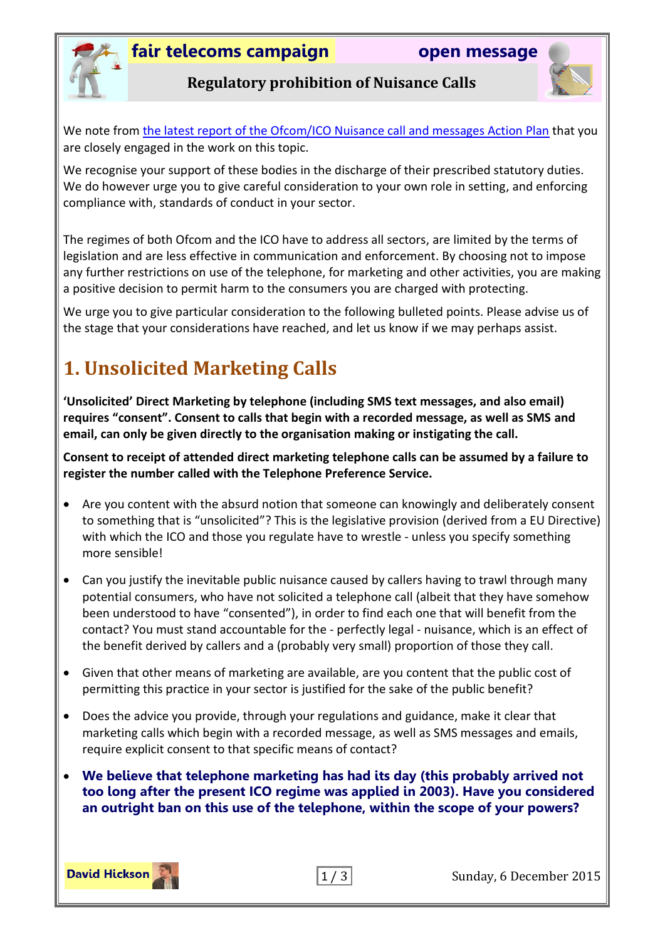



#### **Regulatory prohibition of Nuisance Calls**

We note from [the latest report of the Ofcom/ICO Nuisance call and messages Action Plan](file:///C:/Users/DH/Documents/stakeholders.ofcom.org.uk/binaries/consultations/silentcalls/JAP_Update_Dec2015.pdf%23page=8) that you are closely engaged in the work on this topic.

We recognise your support of these bodies in the discharge of their prescribed statutory duties. We do however urge you to give careful consideration to your own role in setting, and enforcing compliance with, standards of conduct in your sector.

The regimes of both Ofcom and the ICO have to address all sectors, are limited by the terms of legislation and are less effective in communication and enforcement. By choosing not to impose any further restrictions on use of the telephone, for marketing and other activities, you are making a positive decision to permit harm to the consumers you are charged with protecting.

We urge you to give particular consideration to the following bulleted points. Please advise us of the stage that your considerations have reached, and let us know if we may perhaps assist.

# **1. Unsolicited Marketing Calls**

**'Unsolicited' Direct Marketing by telephone (including SMS text messages, and also email) requires "consent". Consent to calls that begin with a recorded message, as well as SMS and email, can only be given directly to the organisation making or instigating the call.**

**Consent to receipt of attended direct marketing telephone calls can be assumed by a failure to register the number called with the Telephone Preference Service.**

- Are you content with the absurd notion that someone can knowingly and deliberately consent to something that is "unsolicited"? This is the legislative provision (derived from a EU Directive) with which the ICO and those you regulate have to wrestle - unless you specify something more sensible!
- Can you justify the inevitable public nuisance caused by callers having to trawl through many potential consumers, who have not solicited a telephone call (albeit that they have somehow been understood to have "consented"), in order to find each one that will benefit from the contact? You must stand accountable for the - perfectly legal - nuisance, which is an effect of the benefit derived by callers and a (probably very small) proportion of those they call.
- Given that other means of marketing are available, are you content that the public cost of permitting this practice in your sector is justified for the sake of the public benefit?
- Does the advice you provide, through your regulations and guidance, make it clear that marketing calls which begin with a recorded message, as well as SMS messages and emails, require explicit consent to that specific means of contact?
- **We believe that telephone marketing has had its day (this probably arrived not too long after the present ICO regime was applied in 2003). Have you considered an outright ban on this use of the telephone, within the scope of your powers?**



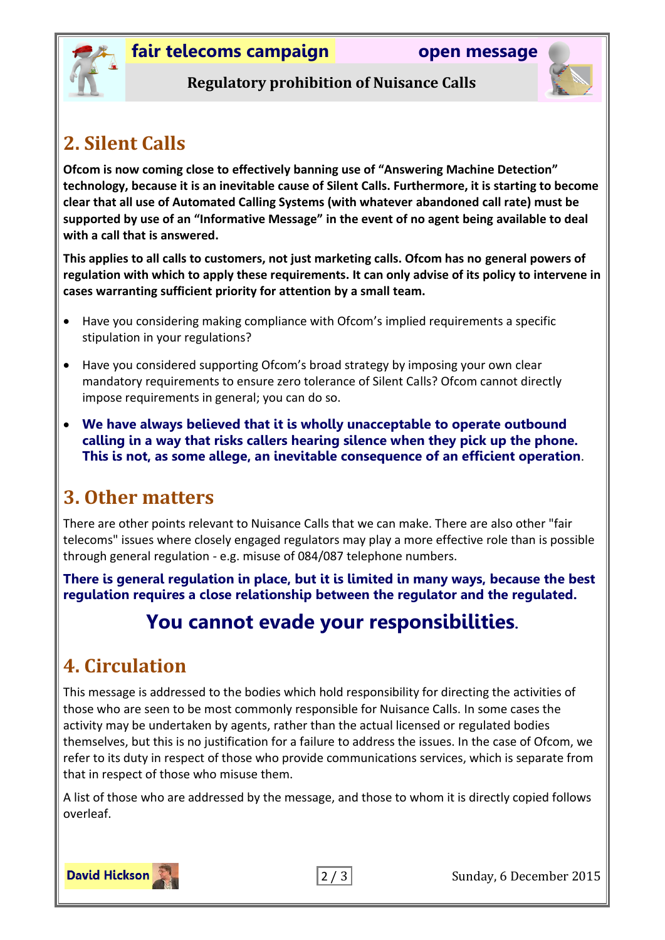



#### **Regulatory prohibition of Nuisance Calls**

# **2. Silent Calls**

**Ofcom is now coming close to effectively banning use of "Answering Machine Detection" technology, because it is an inevitable cause of Silent Calls. Furthermore, it is starting to become clear that all use of Automated Calling Systems (with whatever abandoned call rate) must be supported by use of an "Informative Message" in the event of no agent being available to deal with a call that is answered.**

**This applies to all calls to customers, not just marketing calls. Ofcom has no general powers of regulation with which to apply these requirements. It can only advise of its policy to intervene in cases warranting sufficient priority for attention by a small team.**

- Have you considering making compliance with Ofcom's implied requirements a specific stipulation in your regulations?
- Have you considered supporting Ofcom's broad strategy by imposing your own clear mandatory requirements to ensure zero tolerance of Silent Calls? Ofcom cannot directly impose requirements in general; you can do so.
- **We have always believed that it is wholly unacceptable to operate outbound calling in a way that risks callers hearing silence when they pick up the phone. This is not, as some allege, an inevitable consequence of an efficient operation**.

## **3. Other matters**

There are other points relevant to Nuisance Calls that we can make. There are also other "fair telecoms" issues where closely engaged regulators may play a more effective role than is possible through general regulation - e.g. misuse of 084/087 telephone numbers.

**There is general regulation in place, but it is limited in many ways, because the best regulation requires a close relationship between the regulator and the regulated.**

## **You cannot evade your responsibilities.**

# **4. Circulation**

This message is addressed to the bodies which hold responsibility for directing the activities of those who are seen to be most commonly responsible for Nuisance Calls. In some cases the activity may be undertaken by agents, rather than the actual licensed or regulated bodies themselves, but this is no justification for a failure to address the issues. In the case of Ofcom, we refer to its duty in respect of those who provide communications services, which is separate from that in respect of those who misuse them.

A list of those who are addressed by the message, and those to whom it is directly copied follows overleaf.